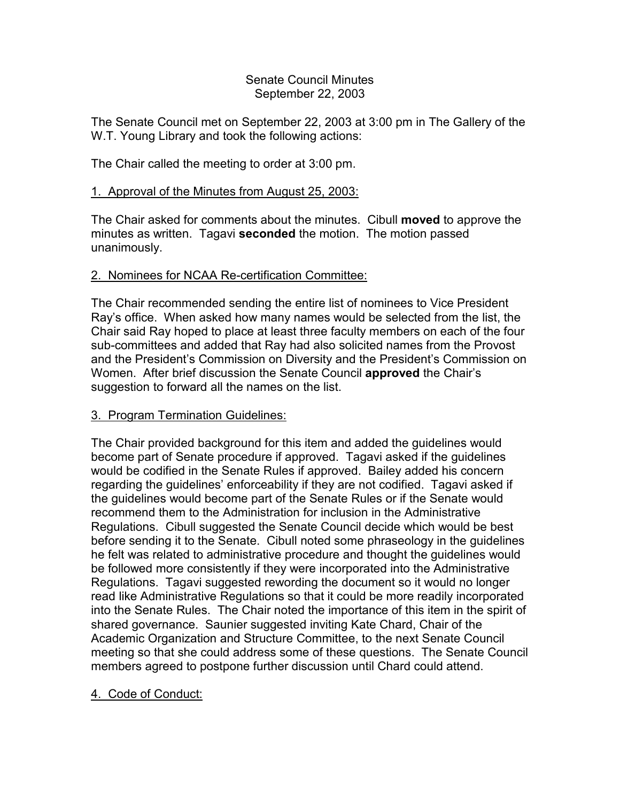### Senate Council Minutes September 22, 2003

The Senate Council met on September 22, 2003 at 3:00 pm in The Gallery of the W.T. Young Library and took the following actions:

The Chair called the meeting to order at 3:00 pm.

# 1. Approval of the Minutes from August 25, 2003:

The Chair asked for comments about the minutes. Cibull **moved** to approve the minutes as written. Tagavi **seconded** the motion. The motion passed unanimously.

### 2. Nominees for NCAA Re-certification Committee:

The Chair recommended sending the entire list of nominees to Vice President Ray's office. When asked how many names would be selected from the list, the Chair said Ray hoped to place at least three faculty members on each of the four sub-committees and added that Ray had also solicited names from the Provost and the President's Commission on Diversity and the President's Commission on Women. After brief discussion the Senate Council **approved** the Chair's suggestion to forward all the names on the list.

### 3. Program Termination Guidelines:

The Chair provided background for this item and added the guidelines would become part of Senate procedure if approved. Tagavi asked if the guidelines would be codified in the Senate Rules if approved. Bailey added his concern regarding the guidelines' enforceability if they are not codified. Tagavi asked if the guidelines would become part of the Senate Rules or if the Senate would recommend them to the Administration for inclusion in the Administrative Regulations. Cibull suggested the Senate Council decide which would be best before sending it to the Senate. Cibull noted some phraseology in the guidelines he felt was related to administrative procedure and thought the guidelines would be followed more consistently if they were incorporated into the Administrative Regulations. Tagavi suggested rewording the document so it would no longer read like Administrative Regulations so that it could be more readily incorporated into the Senate Rules. The Chair noted the importance of this item in the spirit of shared governance. Saunier suggested inviting Kate Chard, Chair of the Academic Organization and Structure Committee, to the next Senate Council meeting so that she could address some of these questions. The Senate Council members agreed to postpone further discussion until Chard could attend.

# 4. Code of Conduct: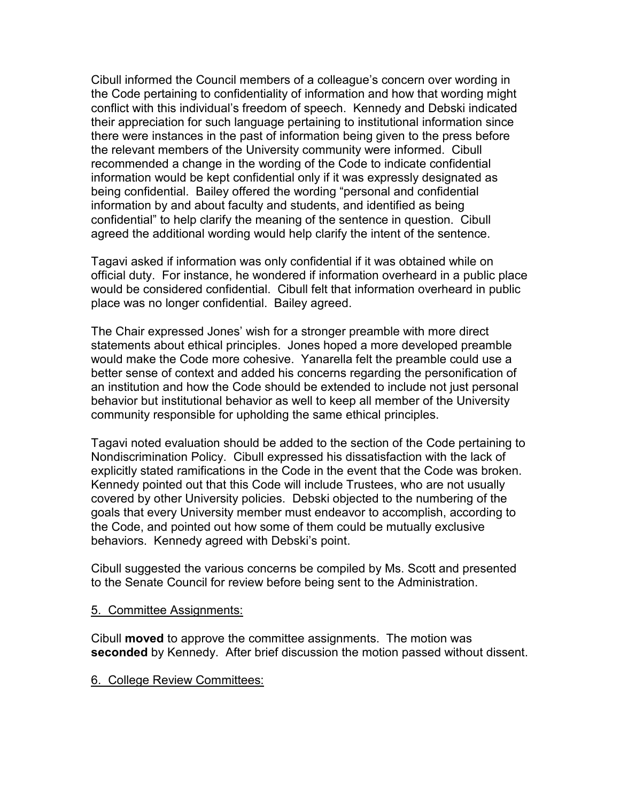Cibull informed the Council members of a colleague's concern over wording in the Code pertaining to confidentiality of information and how that wording might conflict with this individual's freedom of speech. Kennedy and Debski indicated their appreciation for such language pertaining to institutional information since there were instances in the past of information being given to the press before the relevant members of the University community were informed. Cibull recommended a change in the wording of the Code to indicate confidential information would be kept confidential only if it was expressly designated as being confidential. Bailey offered the wording "personal and confidential information by and about faculty and students, and identified as being confidential" to help clarify the meaning of the sentence in question. Cibull agreed the additional wording would help clarify the intent of the sentence.

Tagavi asked if information was only confidential if it was obtained while on official duty. For instance, he wondered if information overheard in a public place would be considered confidential. Cibull felt that information overheard in public place was no longer confidential. Bailey agreed.

The Chair expressed Jones' wish for a stronger preamble with more direct statements about ethical principles. Jones hoped a more developed preamble would make the Code more cohesive. Yanarella felt the preamble could use a better sense of context and added his concerns regarding the personification of an institution and how the Code should be extended to include not just personal behavior but institutional behavior as well to keep all member of the University community responsible for upholding the same ethical principles.

Tagavi noted evaluation should be added to the section of the Code pertaining to Nondiscrimination Policy. Cibull expressed his dissatisfaction with the lack of explicitly stated ramifications in the Code in the event that the Code was broken. Kennedy pointed out that this Code will include Trustees, who are not usually covered by other University policies. Debski objected to the numbering of the goals that every University member must endeavor to accomplish, according to the Code, and pointed out how some of them could be mutually exclusive behaviors. Kennedy agreed with Debski's point.

Cibull suggested the various concerns be compiled by Ms. Scott and presented to the Senate Council for review before being sent to the Administration.

### 5. Committee Assignments:

Cibull **moved** to approve the committee assignments. The motion was **seconded** by Kennedy. After brief discussion the motion passed without dissent.

### 6. College Review Committees: